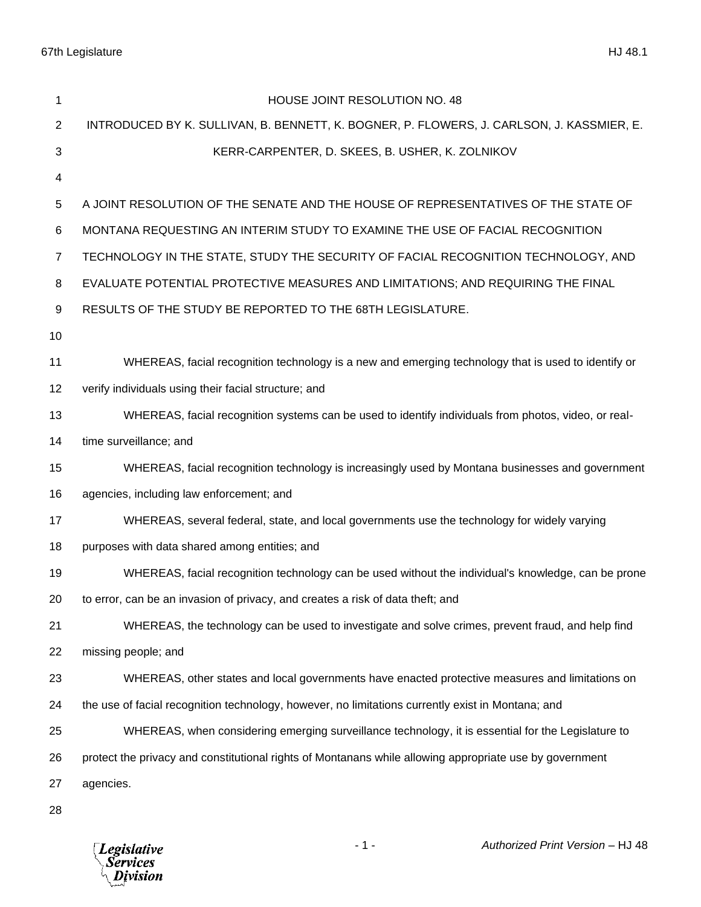| 1              | HOUSE JOINT RESOLUTION NO. 48                                                                           |
|----------------|---------------------------------------------------------------------------------------------------------|
| 2              | INTRODUCED BY K. SULLIVAN, B. BENNETT, K. BOGNER, P. FLOWERS, J. CARLSON, J. KASSMIER, E.               |
| 3              | KERR-CARPENTER, D. SKEES, B. USHER, K. ZOLNIKOV                                                         |
| 4              |                                                                                                         |
| 5              | A JOINT RESOLUTION OF THE SENATE AND THE HOUSE OF REPRESENTATIVES OF THE STATE OF                       |
| 6              | MONTANA REQUESTING AN INTERIM STUDY TO EXAMINE THE USE OF FACIAL RECOGNITION                            |
| $\overline{7}$ | TECHNOLOGY IN THE STATE, STUDY THE SECURITY OF FACIAL RECOGNITION TECHNOLOGY, AND                       |
| 8              | EVALUATE POTENTIAL PROTECTIVE MEASURES AND LIMITATIONS; AND REQUIRING THE FINAL                         |
| 9              | RESULTS OF THE STUDY BE REPORTED TO THE 68TH LEGISLATURE.                                               |
| 10             |                                                                                                         |
| 11             | WHEREAS, facial recognition technology is a new and emerging technology that is used to identify or     |
| 12             | verify individuals using their facial structure; and                                                    |
| 13             | WHEREAS, facial recognition systems can be used to identify individuals from photos, video, or real-    |
| 14             | time surveillance; and                                                                                  |
| 15             | WHEREAS, facial recognition technology is increasingly used by Montana businesses and government        |
| 16             | agencies, including law enforcement; and                                                                |
| 17             | WHEREAS, several federal, state, and local governments use the technology for widely varying            |
| 18             | purposes with data shared among entities; and                                                           |
| 19             | WHEREAS, facial recognition technology can be used without the individual's knowledge, can be prone     |
| 20             | to error, can be an invasion of privacy, and creates a risk of data theft; and                          |
| 21             | WHEREAS, the technology can be used to investigate and solve crimes, prevent fraud, and help find       |
| 22             | missing people; and                                                                                     |
| 23             | WHEREAS, other states and local governments have enacted protective measures and limitations on         |
| 24             | the use of facial recognition technology, however, no limitations currently exist in Montana; and       |
| 25             | WHEREAS, when considering emerging surveillance technology, it is essential for the Legislature to      |
| 26             | protect the privacy and constitutional rights of Montanans while allowing appropriate use by government |
| 27             | agencies.                                                                                               |
| 28             |                                                                                                         |